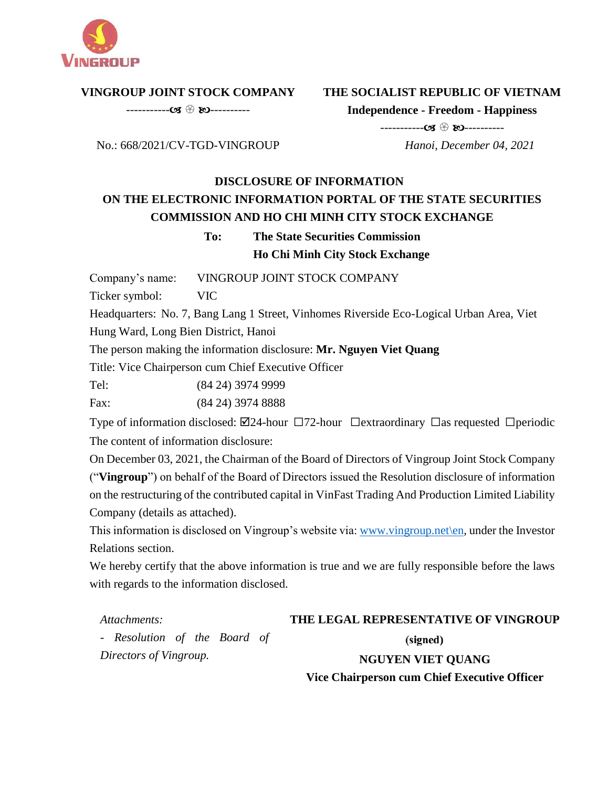

### **VINGROUP JOINT STOCK COMPANY**

----------- ----------

## **THE SOCIALIST REPUBLIC OF VIETNAM**

**Independence - Freedom - Happiness**

No.: 668/2021/CV-TGD-VINGROUP

# ----------- ---------- *Hanoi, December 04, 2021*

# **DISCLOSURE OF INFORMATION ON THE ELECTRONIC INFORMATION PORTAL OF THE STATE SECURITIES COMMISSION AND HO CHI MINH CITY STOCK EXCHANGE**

# **To: The State Securities Commission Ho Chi Minh City Stock Exchange**

Company's name: VINGROUP JOINT STOCK COMPANY

Ticker symbol: VIC

Headquarters: No. 7, Bang Lang 1 Street, Vinhomes Riverside Eco-Logical Urban Area, Viet Hung Ward, Long Bien District, Hanoi

The person making the information disclosure: **Mr. Nguyen Viet Quang**

Title: Vice Chairperson cum Chief Executive Officer

Tel: (84 24) 3974 9999

Fax: (84 24) 3974 8888

Type of information disclosed:  $\boxtimes$ 24-hour  $\Box$ 72-hour  $\Box$ extraordinary  $\Box$ as requested  $\Box$ periodic The content of information disclosure:

On December 03, 2021, the Chairman of the Board of Directors of Vingroup Joint Stock Company ("**Vingroup**") on behalf of the Board of Directors issued the Resolution disclosure of information on the restructuring of the contributed capital in VinFast Trading And Production Limited Liability Company (details as attached).

This information is disclosed on Vingroup's website via[: www.vingroup.net\](http://www.vingroup.net/)en*,* under the Investor Relations section.

We hereby certify that the above information is true and we are fully responsible before the laws with regards to the information disclosed.

*Attachments:*  **THE LEGAL REPRESENTATIVE OF VINGROUP** *- Resolution of the Board of*  (signed) *Directors of Vingroup.* **NGUYEN VIET QUANG Vice Chairperson cum Chief Executive Officer**